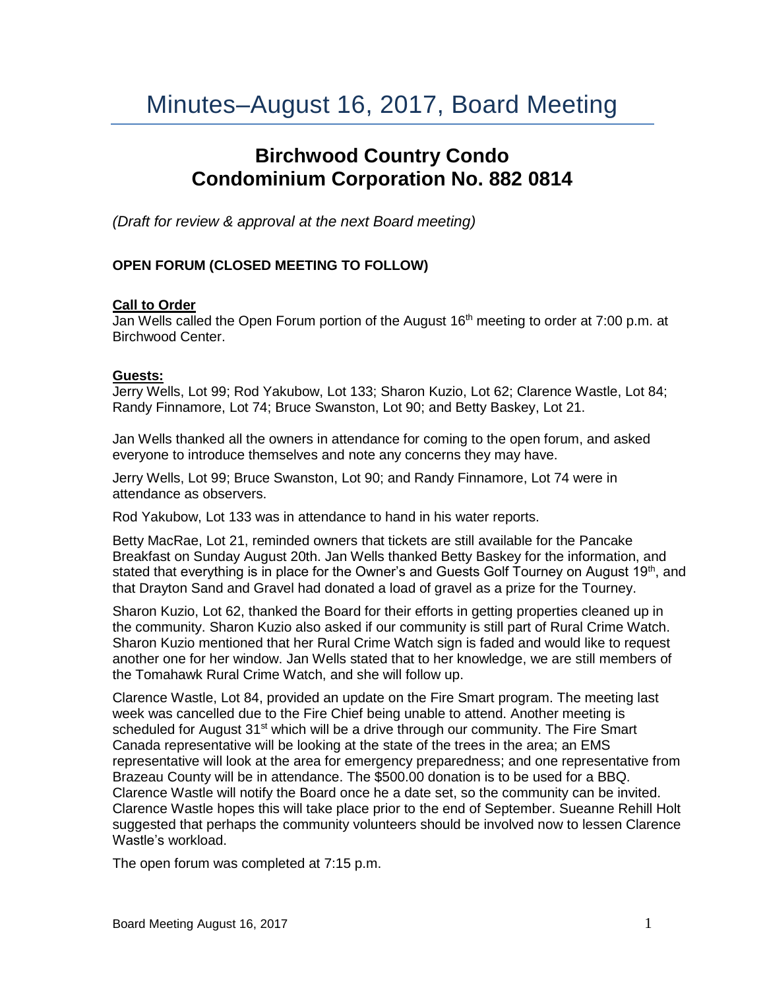# Minutes–August 16, 2017, Board Meeting

# **Birchwood Country Condo Condominium Corporation No. 882 0814**

*(Draft for review & approval at the next Board meeting)*

# **OPEN FORUM (CLOSED MEETING TO FOLLOW)**

#### **Call to Order**

Jan Wells called the Open Forum portion of the August 16<sup>th</sup> meeting to order at 7:00 p.m. at Birchwood Center.

#### **Guests:**

Jerry Wells, Lot 99; Rod Yakubow, Lot 133; Sharon Kuzio, Lot 62; Clarence Wastle, Lot 84; Randy Finnamore, Lot 74; Bruce Swanston, Lot 90; and Betty Baskey, Lot 21.

Jan Wells thanked all the owners in attendance for coming to the open forum, and asked everyone to introduce themselves and note any concerns they may have.

Jerry Wells, Lot 99; Bruce Swanston, Lot 90; and Randy Finnamore, Lot 74 were in attendance as observers.

Rod Yakubow, Lot 133 was in attendance to hand in his water reports.

Betty MacRae, Lot 21, reminded owners that tickets are still available for the Pancake Breakfast on Sunday August 20th. Jan Wells thanked Betty Baskey for the information, and stated that everything is in place for the Owner's and Guests Golf Tourney on August 19<sup>th</sup>, and that Drayton Sand and Gravel had donated a load of gravel as a prize for the Tourney.

Sharon Kuzio, Lot 62, thanked the Board for their efforts in getting properties cleaned up in the community. Sharon Kuzio also asked if our community is still part of Rural Crime Watch. Sharon Kuzio mentioned that her Rural Crime Watch sign is faded and would like to request another one for her window. Jan Wells stated that to her knowledge, we are still members of the Tomahawk Rural Crime Watch, and she will follow up.

Clarence Wastle, Lot 84, provided an update on the Fire Smart program. The meeting last week was cancelled due to the Fire Chief being unable to attend. Another meeting is scheduled for August 31<sup>st</sup> which will be a drive through our community. The Fire Smart Canada representative will be looking at the state of the trees in the area; an EMS representative will look at the area for emergency preparedness; and one representative from Brazeau County will be in attendance. The \$500.00 donation is to be used for a BBQ. Clarence Wastle will notify the Board once he a date set, so the community can be invited. Clarence Wastle hopes this will take place prior to the end of September. Sueanne Rehill Holt suggested that perhaps the community volunteers should be involved now to lessen Clarence Wastle's workload.

The open forum was completed at 7:15 p.m.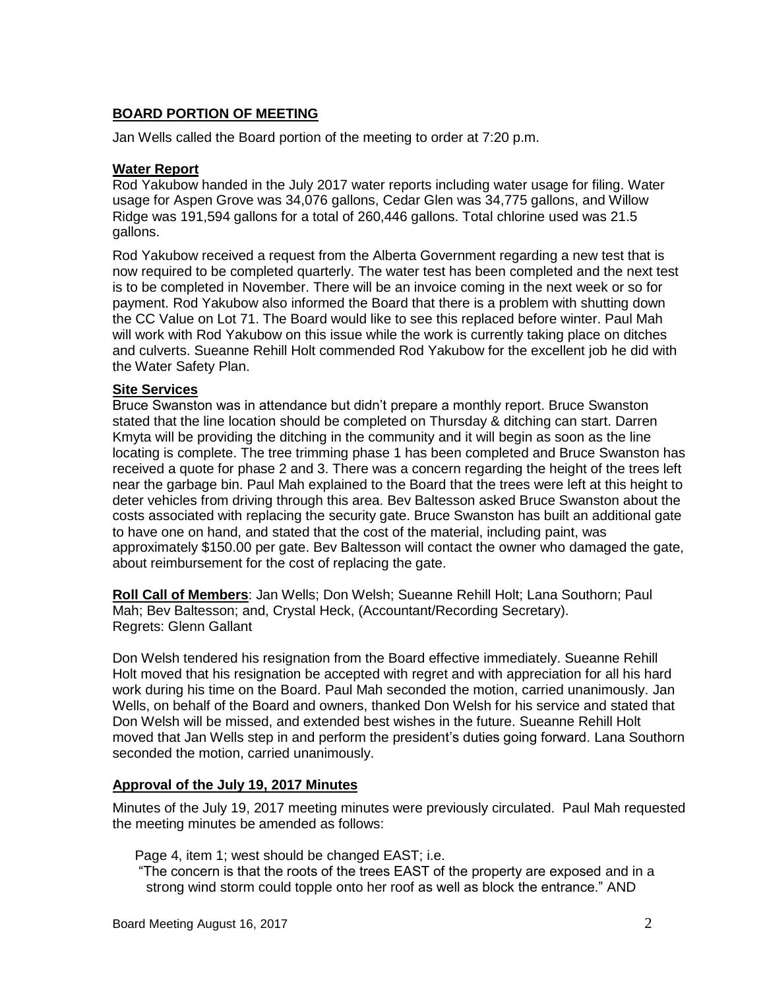# **BOARD PORTION OF MEETING**

Jan Wells called the Board portion of the meeting to order at 7:20 p.m.

#### **Water Report**

Rod Yakubow handed in the July 2017 water reports including water usage for filing. Water usage for Aspen Grove was 34,076 gallons, Cedar Glen was 34,775 gallons, and Willow Ridge was 191,594 gallons for a total of 260,446 gallons. Total chlorine used was 21.5 gallons.

Rod Yakubow received a request from the Alberta Government regarding a new test that is now required to be completed quarterly. The water test has been completed and the next test is to be completed in November. There will be an invoice coming in the next week or so for payment. Rod Yakubow also informed the Board that there is a problem with shutting down the CC Value on Lot 71. The Board would like to see this replaced before winter. Paul Mah will work with Rod Yakubow on this issue while the work is currently taking place on ditches and culverts. Sueanne Rehill Holt commended Rod Yakubow for the excellent job he did with the Water Safety Plan.

#### **Site Services**

Bruce Swanston was in attendance but didn't prepare a monthly report. Bruce Swanston stated that the line location should be completed on Thursday & ditching can start. Darren Kmyta will be providing the ditching in the community and it will begin as soon as the line locating is complete. The tree trimming phase 1 has been completed and Bruce Swanston has received a quote for phase 2 and 3. There was a concern regarding the height of the trees left near the garbage bin. Paul Mah explained to the Board that the trees were left at this height to deter vehicles from driving through this area. Bev Baltesson asked Bruce Swanston about the costs associated with replacing the security gate. Bruce Swanston has built an additional gate to have one on hand, and stated that the cost of the material, including paint, was approximately \$150.00 per gate. Bev Baltesson will contact the owner who damaged the gate, about reimbursement for the cost of replacing the gate.

**Roll Call of Members**: Jan Wells; Don Welsh; Sueanne Rehill Holt; Lana Southorn; Paul Mah; Bev Baltesson; and, Crystal Heck, (Accountant/Recording Secretary). Regrets: Glenn Gallant

Don Welsh tendered his resignation from the Board effective immediately. Sueanne Rehill Holt moved that his resignation be accepted with regret and with appreciation for all his hard work during his time on the Board. Paul Mah seconded the motion, carried unanimously. Jan Wells, on behalf of the Board and owners, thanked Don Welsh for his service and stated that Don Welsh will be missed, and extended best wishes in the future. Sueanne Rehill Holt moved that Jan Wells step in and perform the president's duties going forward. Lana Southorn seconded the motion, carried unanimously.

#### **Approval of the July 19, 2017 Minutes**

Minutes of the July 19, 2017 meeting minutes were previously circulated. Paul Mah requested the meeting minutes be amended as follows:

Page 4, item 1; west should be changed EAST; i.e.

"The concern is that the roots of the trees EAST of the property are exposed and in a strong wind storm could topple onto her roof as well as block the entrance." AND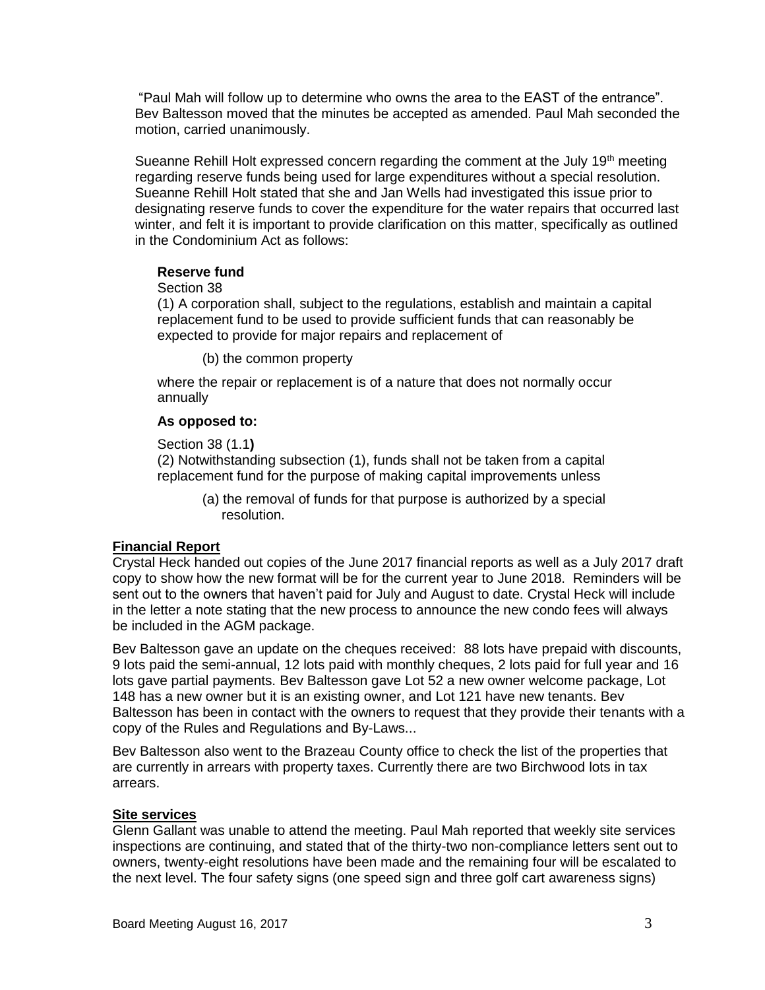"Paul Mah will follow up to determine who owns the area to the EAST of the entrance". Bev Baltesson moved that the minutes be accepted as amended. Paul Mah seconded the motion, carried unanimously.

Sueanne Rehill Holt expressed concern regarding the comment at the July 19<sup>th</sup> meeting regarding reserve funds being used for large expenditures without a special resolution. Sueanne Rehill Holt stated that she and Jan Wells had investigated this issue prior to designating reserve funds to cover the expenditure for the water repairs that occurred last winter, and felt it is important to provide clarification on this matter, specifically as outlined in the Condominium Act as follows:

#### **Reserve fund**

#### Section 38

(1) A corporation shall, subject to the regulations, establish and maintain a capital replacement fund to be used to provide sufficient funds that can reasonably be expected to provide for major repairs and replacement of

(b) the common property

where the repair or replacement is of a nature that does not normally occur annually

#### **As opposed to:**

Section 38 (1.1**)**

(2) Notwithstanding subsection (1), funds shall not be taken from a capital replacement fund for the purpose of making capital improvements unless

(a) the removal of funds for that purpose is authorized by a special resolution.

# **Financial Report**

Crystal Heck handed out copies of the June 2017 financial reports as well as a July 2017 draft copy to show how the new format will be for the current year to June 2018. Reminders will be sent out to the owners that haven't paid for July and August to date. Crystal Heck will include in the letter a note stating that the new process to announce the new condo fees will always be included in the AGM package.

Bev Baltesson gave an update on the cheques received: 88 lots have prepaid with discounts, 9 lots paid the semi-annual, 12 lots paid with monthly cheques, 2 lots paid for full year and 16 lots gave partial payments. Bev Baltesson gave Lot 52 a new owner welcome package, Lot 148 has a new owner but it is an existing owner, and Lot 121 have new tenants. Bev Baltesson has been in contact with the owners to request that they provide their tenants with a copy of the Rules and Regulations and By-Laws...

Bev Baltesson also went to the Brazeau County office to check the list of the properties that are currently in arrears with property taxes. Currently there are two Birchwood lots in tax arrears.

# **Site services**

Glenn Gallant was unable to attend the meeting. Paul Mah reported that weekly site services inspections are continuing, and stated that of the thirty-two non-compliance letters sent out to owners, twenty-eight resolutions have been made and the remaining four will be escalated to the next level. The four safety signs (one speed sign and three golf cart awareness signs)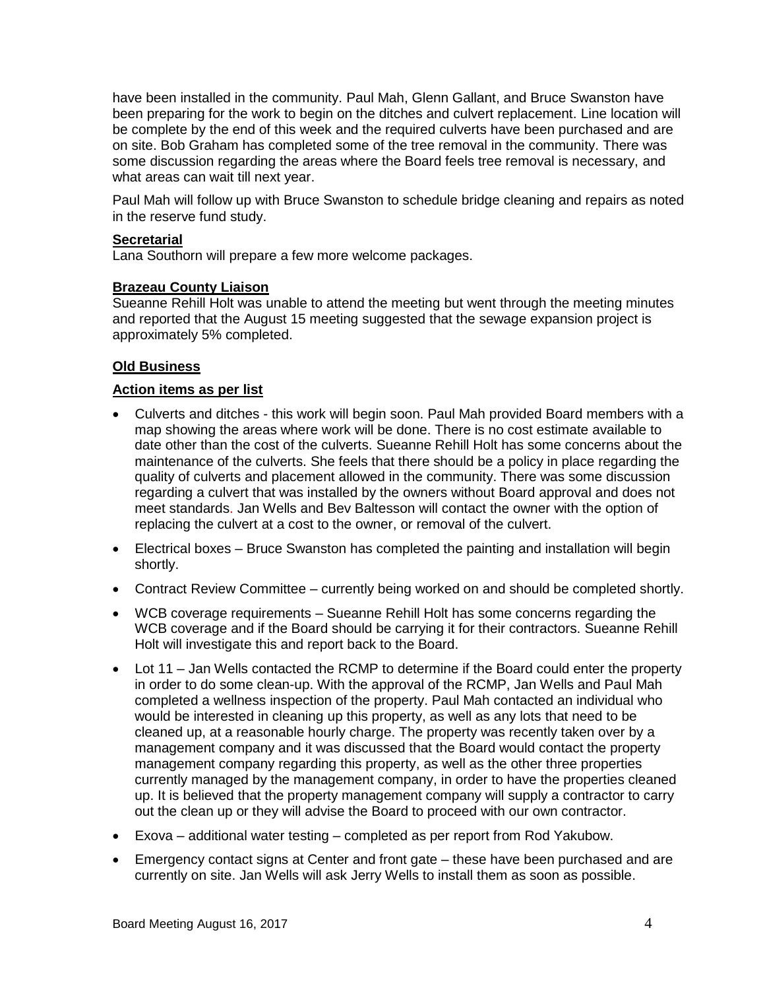have been installed in the community. Paul Mah, Glenn Gallant, and Bruce Swanston have been preparing for the work to begin on the ditches and culvert replacement. Line location will be complete by the end of this week and the required culverts have been purchased and are on site. Bob Graham has completed some of the tree removal in the community. There was some discussion regarding the areas where the Board feels tree removal is necessary, and what areas can wait till next year.

Paul Mah will follow up with Bruce Swanston to schedule bridge cleaning and repairs as noted in the reserve fund study.

### **Secretarial**

Lana Southorn will prepare a few more welcome packages.

#### **Brazeau County Liaison**

Sueanne Rehill Holt was unable to attend the meeting but went through the meeting minutes and reported that the August 15 meeting suggested that the sewage expansion project is approximately 5% completed.

# **Old Business**

#### **Action items as per list**

- Culverts and ditches this work will begin soon. Paul Mah provided Board members with a map showing the areas where work will be done. There is no cost estimate available to date other than the cost of the culverts. Sueanne Rehill Holt has some concerns about the maintenance of the culverts. She feels that there should be a policy in place regarding the quality of culverts and placement allowed in the community. There was some discussion regarding a culvert that was installed by the owners without Board approval and does not meet standards. Jan Wells and Bev Baltesson will contact the owner with the option of replacing the culvert at a cost to the owner, or removal of the culvert.
- Electrical boxes Bruce Swanston has completed the painting and installation will begin shortly.
- Contract Review Committee currently being worked on and should be completed shortly.
- WCB coverage requirements Sueanne Rehill Holt has some concerns regarding the WCB coverage and if the Board should be carrying it for their contractors. Sueanne Rehill Holt will investigate this and report back to the Board.
- Lot 11 Jan Wells contacted the RCMP to determine if the Board could enter the property in order to do some clean-up. With the approval of the RCMP, Jan Wells and Paul Mah completed a wellness inspection of the property. Paul Mah contacted an individual who would be interested in cleaning up this property, as well as any lots that need to be cleaned up, at a reasonable hourly charge. The property was recently taken over by a management company and it was discussed that the Board would contact the property management company regarding this property, as well as the other three properties currently managed by the management company, in order to have the properties cleaned up. It is believed that the property management company will supply a contractor to carry out the clean up or they will advise the Board to proceed with our own contractor.
- Exova additional water testing completed as per report from Rod Yakubow.
- Emergency contact signs at Center and front gate these have been purchased and are currently on site. Jan Wells will ask Jerry Wells to install them as soon as possible.